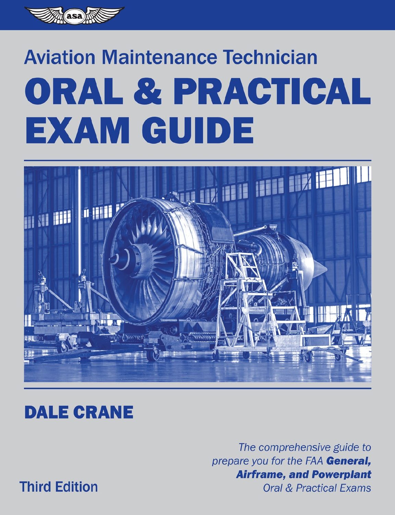

# **Aviation Maintenance Technician** ORAL & PRACTICAL EXAM GUIDE



# **DALE CRANE**

The comprehensive guide to prepare you for the FAA General, **Airframe, and Powerplant** 

**Third Edition** 

**Oral & Practical Exams**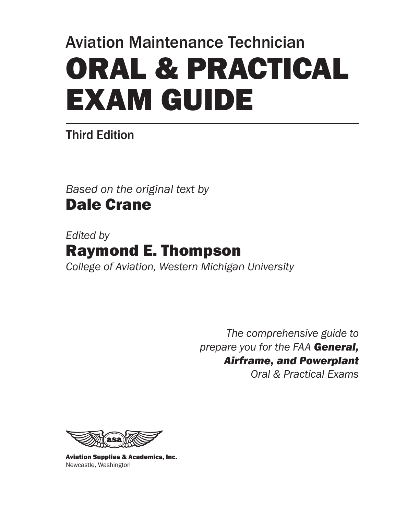# Aviation Maintenance Technician ORAL & PRACTICAL EXAM GUIDE

# Third Edition

*Based on the original text by* Dale Crane

*Edited by*  Raymond E. Thompson *College of Aviation, Western Michigan University*

> *The comprehensive guide to prepare you for the FAA General, Airframe, and Powerplant Oral & Practical Exams*



Aviation Supplies & Academics, Inc. Newcastle, Washington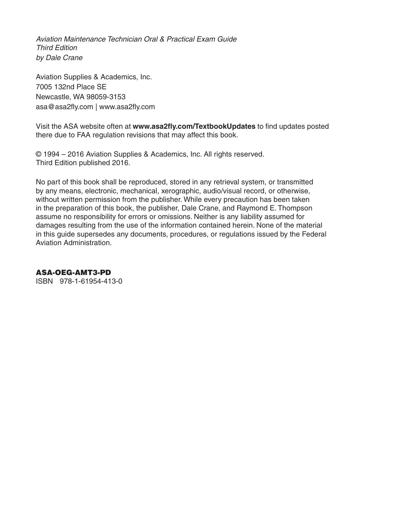*Aviation Maintenance Technician Oral & Practical Exam Guide Third Edition by Dale Crane*

Aviation Supplies & Academics, Inc. 7005 132nd Place SE Newcastle, WA 98059-3153 asa@asa2fly.com | www.asa2fly.com

Visit the ASA website often at **www.asa2fly.com/TextbookUpdates** to find updates posted there due to FAA regulation revisions that may affect this book.

© 1994 – 2016 Aviation Supplies & Academics, Inc. All rights reserved. Third Edition published 2016.

No part of this book shall be reproduced, stored in any retrieval system, or transmitted by any means, electronic, mechanical, xerographic, audio/visual record, or otherwise, without written permission from the publisher. While every precaution has been taken in the preparation of this book, the publisher, Dale Crane, and Raymond E. Thompson assume no responsibility for errors or omissions. Neither is any liability assumed for damages resulting from the use of the information contained herein. None of the material in this guide supersedes any documents, procedures, or regulations issued by the Federal Aviation Administration.

#### ASA-OEG-AMT3-PD

ISBN 978-1-61954-413-0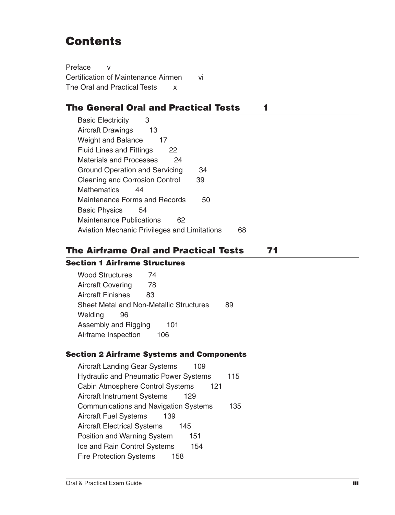# **Contents**

Preface v Certification of Maintenance Airmen vi The Oral and Practical Tests x

# The General Oral and Practical Tests 1

Basic Electricity 3 Aircraft Drawings 13 Weight and Balance 17 Fluid Lines and Fittings 22 Materials and Processes 24 Ground Operation and Servicing 34 Cleaning and Corrosion Control 39 Mathematics 44 Maintenance Forms and Records 50 Basic Physics 54 Maintenance Publications 62 Aviation Mechanic Privileges and Limitations 68

# The Airframe Oral and Practical Tests 71

# Section 1 Airframe Structures

Wood Structures 74 Aircraft Covering 78 Aircraft Finishes 83 Sheet Metal and Non-Metallic Structures 89 Welding 96 Assembly and Rigging 101 Airframe Inspection 106

## Section 2 Airframe Systems and Components

Aircraft Landing Gear Systems 109 Hydraulic and Pneumatic Power Systems 115 Cabin Atmosphere Control Systems 121 Aircraft Instrument Systems 129 Communications and Navigation Systems 135 Aircraft Fuel Systems 139 Aircraft Electrical Systems 145 Position and Warning System 151 Ice and Rain Control Systems 154 Fire Protection Systems 158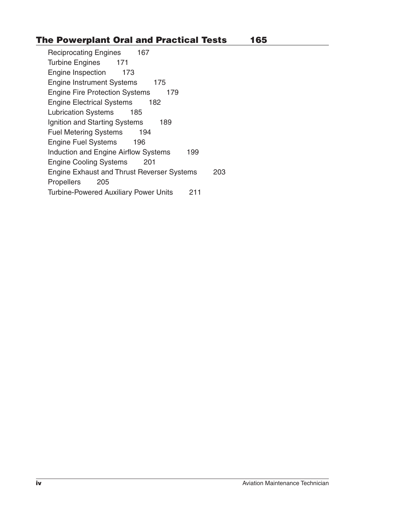# The Powerplant Oral and Practical Tests 165

Reciprocating Engines 167 Turbine Engines 171 Engine Inspection 173 Engine Instrument Systems 175 Engine Fire Protection Systems 179 Engine Electrical Systems 182 Lubrication Systems 185 Ignition and Starting Systems 189 Fuel Metering Systems 194 Engine Fuel Systems 196 Induction and Engine Airflow Systems 199 Engine Cooling Systems 201 Engine Exhaust and Thrust Reverser Systems 203 Propellers 205 Turbine-Powered Auxiliary Power Units 211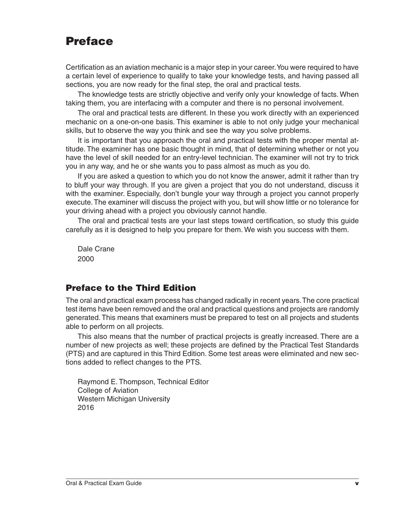# Preface

Certification as an aviation mechanic is a major step in your career. You were required to have a certain level of experience to qualify to take your knowledge tests, and having passed all sections, you are now ready for the final step, the oral and practical tests.

The knowledge tests are strictly objective and verify only your knowledge of facts. When taking them, you are interfacing with a computer and there is no personal involvement.

The oral and practical tests are different. In these you work directly with an experienced mechanic on a one-on-one basis. This examiner is able to not only judge your mechanical skills, but to observe the way you think and see the way you solve problems.

It is important that you approach the oral and practical tests with the proper mental attitude. The examiner has one basic thought in mind, that of determining whether or not you have the level of skill needed for an entry-level technician. The examiner will not try to trick you in any way, and he or she wants you to pass almost as much as you do.

If you are asked a question to which you do not know the answer, admit it rather than try to bluff your way through. If you are given a project that you do not understand, discuss it with the examiner. Especially, don't bungle your way through a project you cannot properly execute. The examiner will discuss the project with you, but will show little or no tolerance for your driving ahead with a project you obviously cannot handle.

The oral and practical tests are your last steps toward certification, so study this guide carefully as it is designed to help you prepare for them. We wish you success with them.

Dale Crane 2000

# Preface to the Third Edition

The oral and practical exam process has changed radically in recent years. The core practical test items have been removed and the oral and practical questions and projects are randomly generated. This means that examiners must be prepared to test on all projects and students able to perform on all projects.

This also means that the number of practical projects is greatly increased. There are a number of new projects as well; these projects are defined by the Practical Test Standards (PTS) and are captured in this Third Edition. Some test areas were eliminated and new sections added to reflect changes to the PTS.

Raymond E. Thompson, Technical Editor College of Aviation Western Michigan University 2016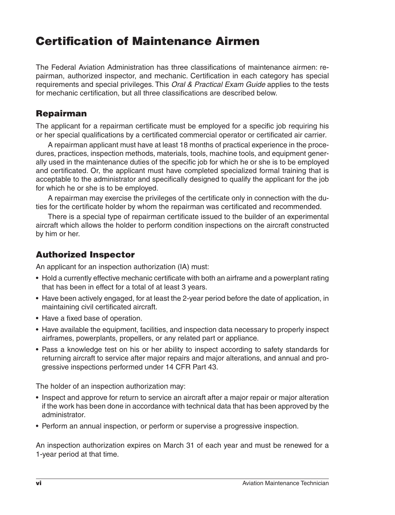# Certification of Maintenance Airmen

The Federal Aviation Administration has three classifications of maintenance airmen: repairman, authorized inspector, and mechanic. Certification in each category has special requirements and special privileges. This *Oral & Practical Exam Guide* applies to the tests for mechanic certification, but all three classifications are described below.

# Repairman

The applicant for a repairman certificate must be employed for a specific job requiring his or her special qualifications by a certificated commercial operator or certificated air carrier.

A repairman applicant must have at least 18 months of practical experience in the procedures, practices, inspection methods, materials, tools, machine tools, and equipment generally used in the maintenance duties of the specific job for which he or she is to be employed and certificated. Or, the applicant must have completed specialized formal training that is acceptable to the administrator and specifically designed to qualify the applicant for the job for which he or she is to be employed.

A repairman may exercise the privileges of the certificate only in connection with the duties for the certificate holder by whom the repairman was certificated and recommended.

There is a special type of repairman certificate issued to the builder of an experimental aircraft which allows the holder to perform condition inspections on the aircraft constructed by him or her.

# Authorized Inspector

An applicant for an inspection authorization (IA) must:

- Hold a currently effective mechanic certificate with both an airframe and a powerplant rating that has been in effect for a total of at least 3 years.
- Have been actively engaged, for at least the 2-year period before the date of application, in maintaining civil certificated aircraft.
- Have a fixed base of operation.
- Have available the equipment, facilities, and inspection data necessary to properly inspect airframes, powerplants, propellers, or any related part or appliance.
- Pass a knowledge test on his or her ability to inspect according to safety standards for returning aircraft to service after major repairs and major alterations, and annual and progressive inspections performed under 14 CFR Part 43.

The holder of an inspection authorization may:

- Inspect and approve for return to service an aircraft after a major repair or major alteration if the work has been done in accordance with technical data that has been approved by the administrator.
- Perform an annual inspection, or perform or supervise a progressive inspection.

An inspection authorization expires on March 31 of each year and must be renewed for a 1-year period at that time.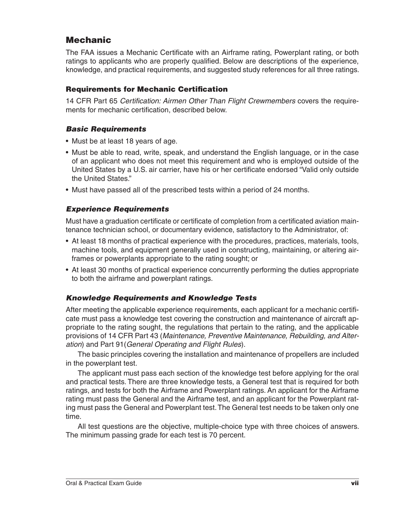# Mechanic

The FAA issues a Mechanic Certificate with an Airframe rating, Powerplant rating, or both ratings to applicants who are properly qualified. Below are descriptions of the experience, knowledge, and practical requirements, and suggested study references for all three ratings.

# Requirements for Mechanic Certification

14 CFR Part 65 *Certification: Airmen Other Than Flight Crewmembers* covers the requirements for mechanic certification, described below.

# *Basic Requirements*

- Must be at least 18 years of age.
- • Must be able to read, write, speak, and understand the English language, or in the case of an applicant who does not meet this requirement and who is employed outside of the United States by a U.S. air carrier, have his or her certificate endorsed "Valid only outside the United States."
- Must have passed all of the prescribed tests within a period of 24 months.

# *Experience Requirements*

Must have a graduation certificate or certificate of completion from a certificated aviation maintenance technician school, or documentary evidence, satisfactory to the Administrator, of:

- At least 18 months of practical experience with the procedures, practices, materials, tools, machine tools, and equipment generally used in constructing, maintaining, or altering airframes or powerplants appropriate to the rating sought; or
- At least 30 months of practical experience concurrently performing the duties appropriate to both the airframe and powerplant ratings.

# *Knowledge Requirements and Knowledge Tests*

After meeting the applicable experience requirements, each applicant for a mechanic certificate must pass a knowledge test covering the construction and maintenance of aircraft appropriate to the rating sought, the regulations that pertain to the rating, and the applicable provisions of 14 CFR Part 43 (*Maintenance, Preventive Maintenance, Rebuilding, and Alteration*) and Part 91(*General Operating and Flight Rules*).

The basic principles covering the installation and maintenance of propellers are included in the powerplant test.

The applicant must pass each section of the knowledge test before applying for the oral and practical tests. There are three knowledge tests, a General test that is required for both ratings, and tests for both the Airframe and Powerplant ratings. An applicant for the Airframe rating must pass the General and the Airframe test, and an applicant for the Powerplant rating must pass the General and Powerplant test. The General test needs to be taken only one time.

All test questions are the objective, multiple-choice type with three choices of answers. The minimum passing grade for each test is 70 percent.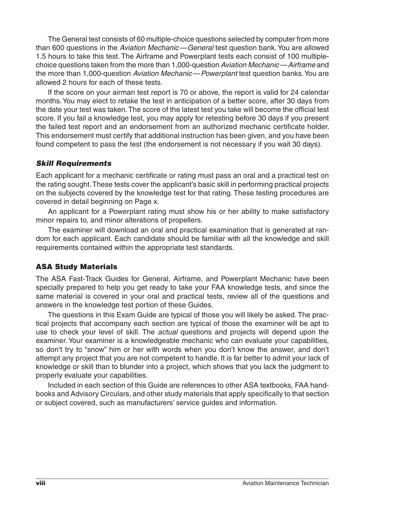The General test consists of 60 multiple-choice questions selected by computer from more than 600 questions in the *Aviation Mechanic—General* test question bank. You are allowed 1.5 hours to take this test. The Airframe and Powerplant tests each consist of 100 multiplechoice questions taken from the more than 1,000-question *Aviation Mechanic—Airframe* and the more than 1,000-question *Aviation Mechanic—Powerplant* test question banks. You are allowed 2 hours for each of these tests.

If the score on your airman test report is 70 or above, the report is valid for 24 calendar months. You may elect to retake the test in anticipation of a better score, after 30 days from the date your test was taken. The score of the latest test you take will become the official test score. If you fail a knowledge test, you may apply for retesting before 30 days if you present the failed test report and an endorsement from an authorized mechanic certificate holder. This endorsement must certify that additional instruction has been given, and you have been found competent to pass the test (the endorsement is not necessary if you wait 30 days).

## *Skill Requirements*

Each applicant for a mechanic certificate or rating must pass an oral and a practical test on the rating sought. These tests cover the applicant's basic skill in performing practical projects on the subjects covered by the knowledge test for that rating. These testing procedures are covered in detail beginning on Page x.

An applicant for a Powerplant rating must show his or her ability to make satisfactory minor repairs to, and minor alterations of propellers.

The examiner will download an oral and practical examination that is generated at random for each applicant. Each candidate should be familiar with all the knowledge and skill requirements contained within the appropriate test standards.

## ASA Study Materials

The ASA Fast-Track Guides for General, Airframe, and Powerplant Mechanic have been specially prepared to help you get ready to take your FAA knowledge tests, and since the same material is covered in your oral and practical tests, review all of the questions and answers in the knowledge test portion of these Guides.

The questions in this Exam Guide are typical of those you will likely be asked. The practical projects that accompany each section are typical of those the examiner will be apt to use to check your level of skill. The *actual* questions and projects will depend upon the examiner. Your examiner is a knowledgeable mechanic who can evaluate your capabilities, so don't try to "snow" him or her with words when you don't know the answer, and don't attempt any project that you are not competent to handle. It is far better to admit your lack of knowledge or skill than to blunder into a project, which shows that you lack the judgment to properly evaluate your capabilities.

Included in each section of this Guide are references to other ASA textbooks, FAA handbooks and Advisory Circulars, and other study materials that apply specifically to that section or subject covered, such as manufacturers' service guides and information.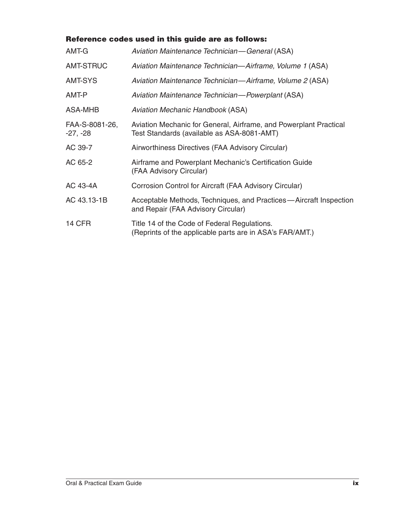# Reference codes used in this guide are as follows:

| AMT-G                        | Aviation Maintenance Technician—General (ASA)                                                                   |
|------------------------------|-----------------------------------------------------------------------------------------------------------------|
| AMT-STRUC                    | Aviation Maintenance Technician-Airframe, Volume 1 (ASA)                                                        |
| AMT-SYS                      | Aviation Maintenance Technician-Airframe, Volume 2 (ASA)                                                        |
| AMT-P                        | Aviation Maintenance Technician-Powerplant (ASA)                                                                |
| ASA-MHB                      | Aviation Mechanic Handbook (ASA)                                                                                |
| FAA-S-8081-26,<br>$-27, -28$ | Aviation Mechanic for General, Airframe, and Powerplant Practical<br>Test Standards (available as ASA-8081-AMT) |
| AC 39-7                      | Airworthiness Directives (FAA Advisory Circular)                                                                |
| AC 65-2                      | Airframe and Powerplant Mechanic's Certification Guide<br>(FAA Advisory Circular)                               |
| AC 43-4A                     | Corrosion Control for Aircraft (FAA Advisory Circular)                                                          |
| AC 43.13-1B                  | Acceptable Methods, Techniques, and Practices-Aircraft Inspection<br>and Repair (FAA Advisory Circular)         |
| 14 CFR                       | Title 14 of the Code of Federal Regulations.<br>(Reprints of the applicable parts are in ASA's FAR/AMT.)        |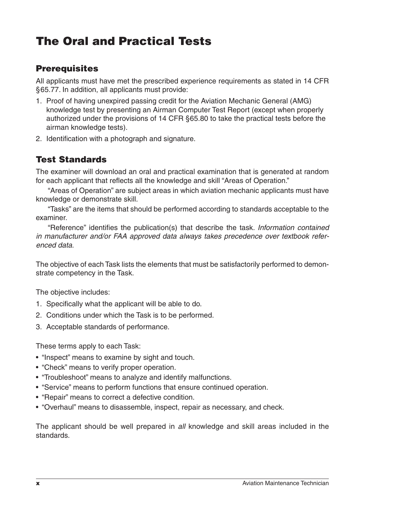# The Oral and Practical Tests

# **Prerequisites**

All applicants must have met the prescribed experience requirements as stated in 14 CFR §65.77. In addition, all applicants must provide:

- 1. Proof of having unexpired passing credit for the Aviation Mechanic General (AMG) knowledge test by presenting an Airman Computer Test Report (except when properly authorized under the provisions of 14 CFR §65.80 to take the practical tests before the airman knowledge tests).
- 2. Identification with a photograph and signature.

# Test Standards

The examiner will download an oral and practical examination that is generated at random for each applicant that reflects all the knowledge and skill "Areas of Operation."

"Areas of Operation" are subject areas in which aviation mechanic applicants must have knowledge or demonstrate skill.

"Tasks" are the items that should be performed according to standards acceptable to the examiner.

"Reference" identifies the publication(s) that describe the task. *Information contained in manufacturer and/or FAA approved data always takes precedence over textbook referenced data*.

The objective of each Task lists the elements that must be satisfactorily performed to demonstrate competency in the Task.

The objective includes:

- 1. Specifically what the applicant will be able to do.
- 2. Conditions under which the Task is to be performed.
- 3. Acceptable standards of performance.

These terms apply to each Task:

- "Inspect" means to examine by sight and touch.
- "Check" means to verify proper operation.
- "Troubleshoot" means to analyze and identify malfunctions.
- "Service" means to perform functions that ensure continued operation.
- "Repair" means to correct a defective condition.
- "Overhaul" means to disassemble, inspect, repair as necessary, and check.

The applicant should be well prepared in *all* knowledge and skill areas included in the standards.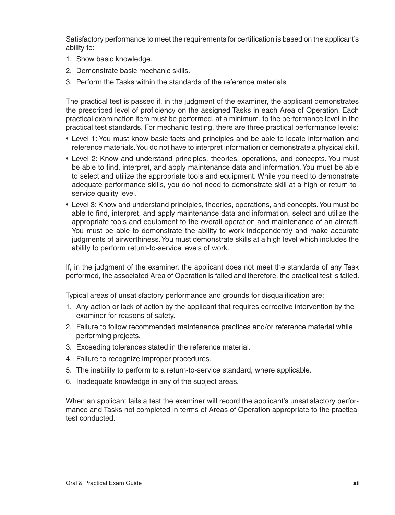Satisfactory performance to meet the requirements for certification is based on the applicant's ability to:

- 1. Show basic knowledge.
- 2. Demonstrate basic mechanic skills.
- 3. Perform the Tasks within the standards of the reference materials.

The practical test is passed if, in the judgment of the examiner, the applicant demonstrates the prescribed level of proficiency on the assigned Tasks in each Area of Operation. Each practical examination item must be performed, at a minimum, to the performance level in the practical test standards. For mechanic testing, there are three practical performance levels:

- Level 1: You must know basic facts and principles and be able to locate information and reference materials. You do not have to interpret information or demonstrate a physical skill.
- Level 2: Know and understand principles, theories, operations, and concepts. You must be able to find, interpret, and apply maintenance data and information. You must be able to select and utilize the appropriate tools and equipment. While you need to demonstrate adequate performance skills, you do not need to demonstrate skill at a high or return-toservice quality level.
- Level 3: Know and understand principles, theories, operations, and concepts. You must be able to find, interpret, and apply maintenance data and information, select and utilize the appropriate tools and equipment to the overall operation and maintenance of an aircraft. You must be able to demonstrate the ability to work independently and make accurate judgments of airworthiness. You must demonstrate skills at a high level which includes the ability to perform return-to-service levels of work.

If, in the judgment of the examiner, the applicant does not meet the standards of any Task performed, the associated Area of Operation is failed and therefore, the practical test is failed.

Typical areas of unsatisfactory performance and grounds for disqualification are:

- 1. Any action or lack of action by the applicant that requires corrective intervention by the examiner for reasons of safety.
- 2. Failure to follow recommended maintenance practices and/or reference material while performing projects.
- 3. Exceeding tolerances stated in the reference material.
- 4. Failure to recognize improper procedures.
- 5. The inability to perform to a return-to-service standard, where applicable.
- 6. Inadequate knowledge in any of the subject areas.

When an applicant fails a test the examiner will record the applicant's unsatisfactory performance and Tasks not completed in terms of Areas of Operation appropriate to the practical test conducted.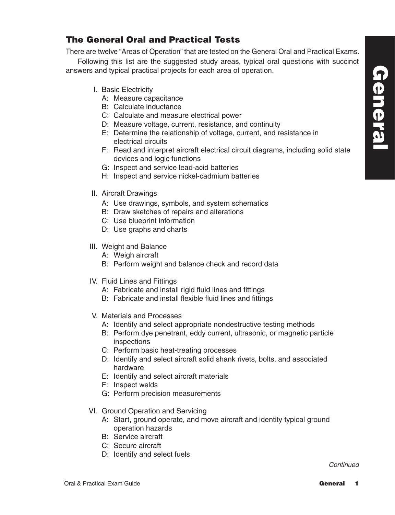# The General Oral and Practical Tests

There are twelve "Areas of Operation" that are tested on the General Oral and Practical Exams.

Following this list are the suggested study areas, typical oral questions with succinct answers and typical practical projects for each area of operation.

- I. Basic Electricity
	- A: Measure capacitance
	- B: Calculate inductance
	- C: Calculate and measure electrical power
	- D: Measure voltage, current, resistance, and continuity
	- E: Determine the relationship of voltage, current, and resistance in electrical circuits
	- F: Read and interpret aircraft electrical circuit diagrams, including solid state devices and logic functions
	- G: Inspect and service lead-acid batteries
	- H: Inspect and service nickel-cadmium batteries
- II. Aircraft Drawings
	- A: Use drawings, symbols, and system schematics
	- B: Draw sketches of repairs and alterations
	- C: Use blueprint information
	- D: Use graphs and charts
- III. Weight and Balance
	- A: Weigh aircraft
	- B: Perform weight and balance check and record data
- IV. Fluid Lines and Fittings
	- A: Fabricate and install rigid fluid lines and fittings
	- B: Fabricate and install flexible fluid lines and fittings
- V. Materials and Processes
	- A: Identify and select appropriate nondestructive testing methods
	- B: Perform dye penetrant, eddy current, ultrasonic, or magnetic particle inspections
	- C: Perform basic heat-treating processes
	- D: Identify and select aircraft solid shank rivets, bolts, and associated hardware
	- E: Identify and select aircraft materials
	- F: Inspect welds
	- G: Perform precision measurements
- VI. Ground Operation and Servicing
	- A: Start, ground operate, and move aircraft and identity typical ground operation hazards
	- B: Service aircraft
	- C: Secure aircraft
	- D: Identify and select fuels

*Continued*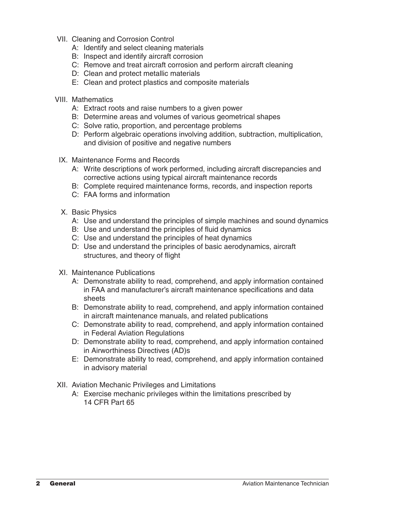- VII. Cleaning and Corrosion Control
	- A: Identify and select cleaning materials
	- B: Inspect and identify aircraft corrosion
	- C: Remove and treat aircraft corrosion and perform aircraft cleaning
	- D: Clean and protect metallic materials
	- E: Clean and protect plastics and composite materials
- VIII. Mathematics
	- A: Extract roots and raise numbers to a given power
	- B: Determine areas and volumes of various geometrical shapes
	- C: Solve ratio, proportion, and percentage problems
	- D: Perform algebraic operations involving addition, subtraction, multiplication, and division of positive and negative numbers
	- IX. Maintenance Forms and Records
		- A: Write descriptions of work performed, including aircraft discrepancies and corrective actions using typical aircraft maintenance records
		- B: Complete required maintenance forms, records, and inspection reports
		- C: FAA forms and information
	- X. Basic Physics
		- A: Use and understand the principles of simple machines and sound dynamics
		- B: Use and understand the principles of fluid dynamics
		- C: Use and understand the principles of heat dynamics
		- D: Use and understand the principles of basic aerodynamics, aircraft structures, and theory of flight
- XI. Maintenance Publications
	- A: Demonstrate ability to read, comprehend, and apply information contained in FAA and manufacturer's aircraft maintenance specifications and data sheets
	- B: Demonstrate ability to read, comprehend, and apply information contained in aircraft maintenance manuals, and related publications
	- C: Demonstrate ability to read, comprehend, and apply information contained in Federal Aviation Regulations
	- D: Demonstrate ability to read, comprehend, and apply information contained in Airworthiness Directives (AD)s
	- E: Demonstrate ability to read, comprehend, and apply information contained in advisory material
- XII. Aviation Mechanic Privileges and Limitations
	- A: Exercise mechanic privileges within the limitations prescribed by 14 CFR Part 65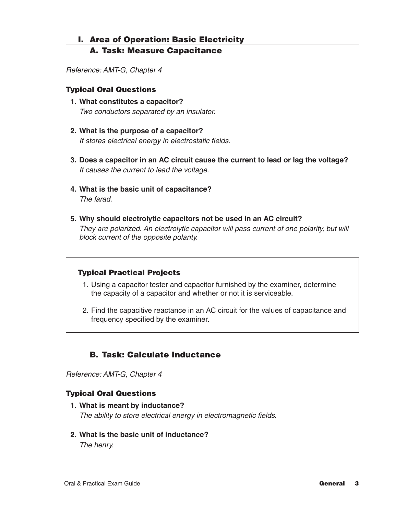# I. Area of Operation: Basic Electricity

# A. Task: Measure Capacitance

*Reference: AMT-G, Chapter 4*

# Typical Oral Questions

- **1. What constitutes a capacitor?** *Two conductors separated by an insulator.*
- **2. What is the purpose of a capacitor?** *It stores electrical energy in electrostatic fields.*
- **3. Does a capacitor in an AC circuit cause the current to lead or lag the voltage?** *It causes the current to lead the voltage.*
- **4. What is the basic unit of capacitance?** *The farad.*
- **5. Why should electrolytic capacitors not be used in an AC circuit?** *They are polarized. An electrolytic capacitor will pass current of one polarity, but will block current of the opposite polarity.*

# Typical Practical Projects

- 1. Using a capacitor tester and capacitor furnished by the examiner, determine the capacity of a capacitor and whether or not it is serviceable.
- 2. Find the capacitive reactance in an AC circuit for the values of capacitance and frequency specified by the examiner.

# B. Task: Calculate Inductance

*Reference: AMT-G, Chapter 4*

## Typical Oral Questions

- **1. What is meant by inductance?** *The ability to store electrical energy in electromagnetic fields.*
- **2. What is the basic unit of inductance?**

*The henry.*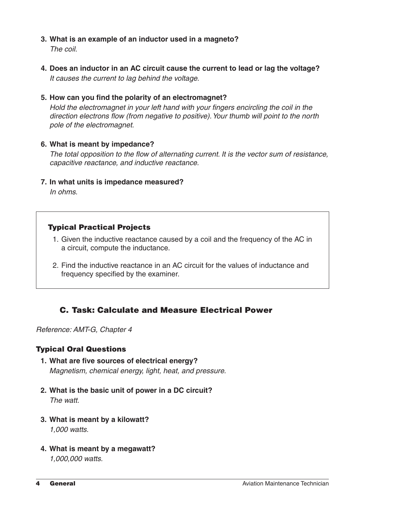**3. What is an example of an inductor used in a magneto?**

*The coil.*

- **4. Does an inductor in an AC circuit cause the current to lead or lag the voltage?** *It causes the current to lag behind the voltage.*
- **5. How can you find the polarity of an electromagnet?**

*Hold the electromagnet in your left hand with your fingers encircling the coil in the direction electrons flow (from negative to positive). Your thumb will point to the north pole of the electromagnet.*

#### **6. What is meant by impedance?**

*The total opposition to the flow of alternating current. It is the vector sum of resistance, capacitive reactance, and inductive reactance.*

**7. In what units is impedance measured?**

*In ohms.*

# Typical Practical Projects

- 1. Given the inductive reactance caused by a coil and the frequency of the AC in a circuit, compute the inductance.
- 2. Find the inductive reactance in an AC circuit for the values of inductance and frequency specified by the examiner.

# C. Task: Calculate and Measure Electrical Power

*Reference: AMT-G, Chapter 4*

## Typical Oral Questions

- **1. What are five sources of electrical energy?** *Magnetism, chemical energy, light, heat, and pressure.*
- **2. What is the basic unit of power in a DC circuit?** *The watt.*
- **3. What is meant by a kilowatt?** *1,000 watts.*
- **4. What is meant by a megawatt?** *1,000,000 watts.*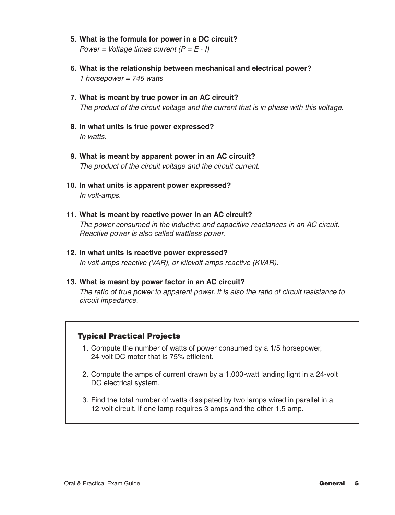- **5. What is the formula for power in a DC circuit?** *Power = Voltage times current (P = E · I)*
- **6. What is the relationship between mechanical and electrical power?** *1 horsepower = 746 watts*
- **7. What is meant by true power in an AC circuit?** *The product of the circuit voltage and the current that is in phase with this voltage.*
- **8. In what units is true power expressed?** *In watts.*
- **9. What is meant by apparent power in an AC circuit?** *The product of the circuit voltage and the circuit current.*
- **10. In what units is apparent power expressed?** *In volt-amps.*
- **11. What is meant by reactive power in an AC circuit?** *The power consumed in the inductive and capacitive reactances in an AC circuit. Reactive power is also called wattless power.*
- **12. In what units is reactive power expressed?** *In volt-amps reactive (VAR), or kilovolt-amps reactive (KVAR).*

## **13. What is meant by power factor in an AC circuit?**

*The ratio of true power to apparent power. It is also the ratio of circuit resistance to circuit impedance.*

## Typical Practical Projects

- 1. Compute the number of watts of power consumed by a 1/5 horsepower, 24-volt DC motor that is 75% efficient.
- 2. Compute the amps of current drawn by a 1,000-watt landing light in a 24-volt DC electrical system.
- 3. Find the total number of watts dissipated by two lamps wired in parallel in a 12-volt circuit, if one lamp requires 3 amps and the other 1.5 amp.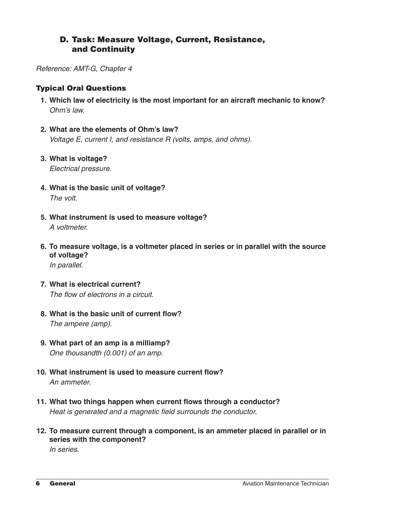# D. Task: Measure Voltage, Current, Resistance, and Continuity

*Reference: AMT-G, Chapter 4*

# Typical Oral Questions

- **1. Which law of electricity is the most important for an aircraft mechanic to know?** *Ohm's law.*
- **2. What are the elements of Ohm's law?** *Voltage E, current I, and resistance R (volts, amps, and ohms).*
- **3. What is voltage?** *Electrical pressure.*
- **4. What is the basic unit of voltage?** *The volt.*
- **5. What instrument is used to measure voltage?** *A voltmeter.*
- **6. To measure voltage, is a voltmeter placed in series or in parallel with the source of voltage?** *In parallel.*
- **7. What is electrical current?** *The flow of electrons in a circuit.*
- **8. What is the basic unit of current flow?** *The ampere (amp).*
- **9. What part of an amp is a milliamp?** *One thousandth (0.001) of an amp.*
- **10. What instrument is used to measure current flow?** *An ammeter.*
- **11. What two things happen when current flows through a conductor?** *Heat is generated and a magnetic field surrounds the conductor.*
- **12. To measure current through a component, is an ammeter placed in parallel or in series with the component?**

*In series.*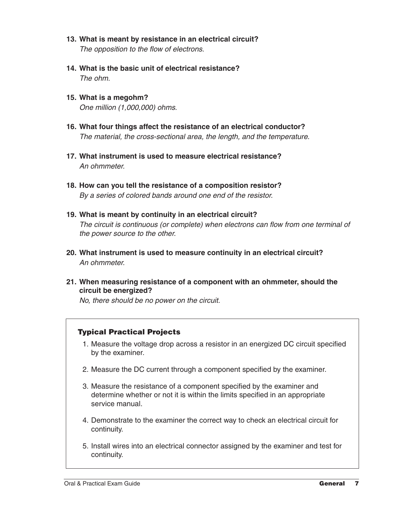- **13. What is meant by resistance in an electrical circuit?** *The opposition to the flow of electrons.*
- **14. What is the basic unit of electrical resistance?** *The ohm.*
- **15. What is a megohm?** *One million (1,000,000) ohms.*
- **16. What four things affect the resistance of an electrical conductor?** *The material, the cross-sectional area, the length, and the temperature.*
- **17. What instrument is used to measure electrical resistance?** *An ohmmeter.*
- **18. How can you tell the resistance of a composition resistor?** *By a series of colored bands around one end of the resistor.*
- **19. What is meant by continuity in an electrical circuit?** *The circuit is continuous (or complete) when electrons can flow from one terminal of the power source to the other.*
- **20. What instrument is used to measure continuity in an electrical circuit?** *An ohmmeter.*
- **21. When measuring resistance of a component with an ohmmeter, should the circuit be energized?**

*No, there should be no power on the circuit.* 

# Typical Practical Projects

- 1. Measure the voltage drop across a resistor in an energized DC circuit specified by the examiner.
- 2. Measure the DC current through a component specified by the examiner.
- 3. Measure the resistance of a component specified by the examiner and determine whether or not it is within the limits specified in an appropriate service manual.
- 4. Demonstrate to the examiner the correct way to check an electrical circuit for continuity.
- 5. Install wires into an electrical connector assigned by the examiner and test for continuity.